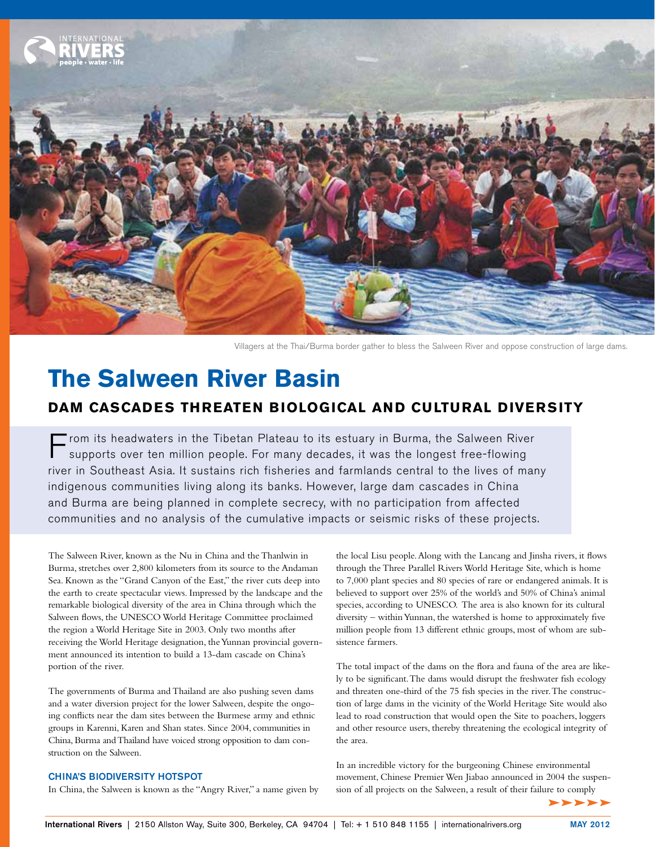

Villagers at the Thai/Burma border gather to bless the Salween River and oppose construction of large dams.

# **The Salween River Basin**

## **Dam Cascades Threaten Biological and Cultural Diversity**

 $\blacksquare$  rom its headwaters in the Tibetan Plateau to its estuary in Burma, the Salween River supports over ten million people. For many decades, it was the longest free-flowing river in Southeast Asia. It sustains rich fisheries and farmlands central to the lives of many indigenous communities living along its banks. However, large dam cascades in China and Burma are being planned in complete secrecy, with no participation from affected communities and no analysis of the cumulative impacts or seismic risks of these projects.

The Salween River, known as the Nu in China and the Thanlwin in Burma, stretches over 2,800 kilometers from its source to the Andaman Sea. Known as the "Grand Canyon of the East," the river cuts deep into the earth to create spectacular views. Impressed by the landscape and the remarkable biological diversity of the area in China through which the Salween flows, the UNESCO World Heritage Committee proclaimed the region a World Heritage Site in 2003. Only two months after receiving the World Heritage designation, the Yunnan provincial government announced its intention to build a 13-dam cascade on China's portion of the river.

The governments of Burma and Thailand are also pushing seven dams and a water diversion project for the lower Salween, despite the ongoing conflicts near the dam sites between the Burmese army and ethnic groups in Karenni, Karen and Shan states. Since 2004, communities in China, Burma and Thailand have voiced strong opposition to dam construction on the Salween.

#### China's biodiversity hotspot

In China, the Salween is known as the "Angry River," a name given by

the local Lisu people. Along with the Lancang and Jinsha rivers, it flows through the Three Parallel Rivers World Heritage Site, which is home to 7,000 plant species and 80 species of rare or endangered animals. It is believed to support over 25% of the world's and 50% of China's animal species, according to UNESCO. The area is also known for its cultural diversity – within Yunnan, the watershed is home to approximately five million people from 13 different ethnic groups, most of whom are subsistence farmers.

The total impact of the dams on the flora and fauna of the area are likely to be significant. The dams would disrupt the freshwater fish ecology and threaten one-third of the 75 fish species in the river. The construction of large dams in the vicinity of the World Heritage Site would also lead to road construction that would open the Site to poachers, loggers and other resource users, thereby threatening the ecological integrity of the area.

In an incredible victory for the burgeoning Chinese environmental movement, Chinese Premier Wen Jiabao announced in 2004 the suspension of all projects on the Salween, a result of their failure to comply

 $\blacktriangleright \blacktriangleright \blacktriangleright \blacktriangleright \blacktriangleright$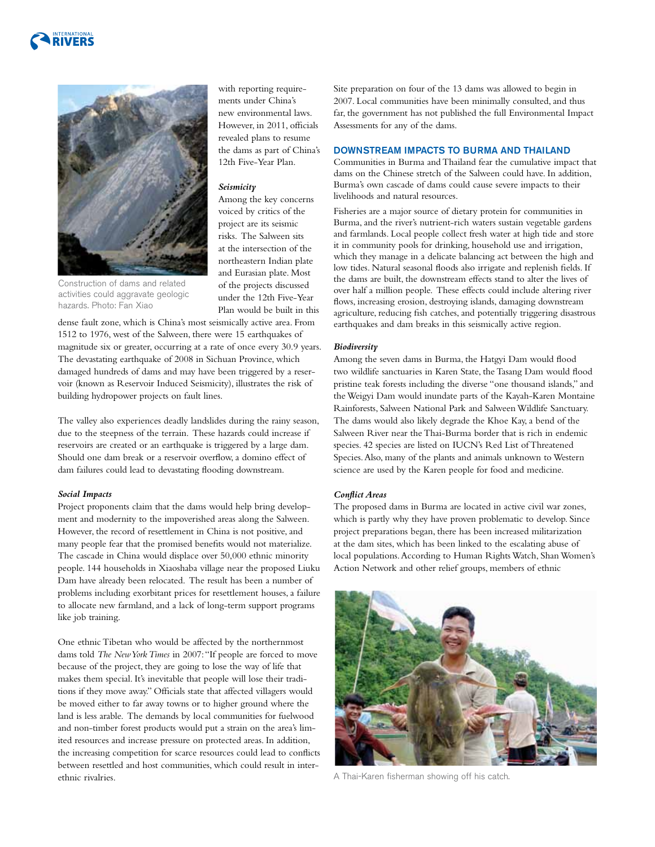



with reporting requirements under China's new environmental laws. However, in 2011, officials revealed plans to resume the dams as part of China's 12th Five-Year Plan.

### *Seismicity*

Among the key concerns voiced by critics of the project are its seismic risks. The Salween sits at the intersection of the northeastern Indian plate and Eurasian plate. Most of the projects discussed under the 12th Five-Year Plan would be built in this

Construction of dams and related activities could aggravate geologic hazards. Photo: Fan Xiao

dense fault zone, which is China's most seismically active area. From 1512 to 1976, west of the Salween, there were 15 earthquakes of magnitude six or greater, occurring at a rate of once every 30.9 years. The devastating earthquake of 2008 in Sichuan Province, which damaged hundreds of dams and may have been triggered by a reservoir (known as Reservoir Induced Seismicity), illustrates the risk of building hydropower projects on fault lines.

The valley also experiences deadly landslides during the rainy season, due to the steepness of the terrain. These hazards could increase if reservoirs are created or an earthquake is triggered by a large dam. Should one dam break or a reservoir overflow, a domino effect of dam failures could lead to devastating flooding downstream.

#### *Social Impacts*

Project proponents claim that the dams would help bring development and modernity to the impoverished areas along the Salween. However, the record of resettlement in China is not positive, and many people fear that the promised benefits would not materialize. The cascade in China would displace over 50,000 ethnic minority people. 144 households in Xiaoshaba village near the proposed Liuku Dam have already been relocated. The result has been a number of problems including exorbitant prices for resettlement houses, a failure to allocate new farmland, and a lack of long-term support programs like job training.

One ethnic Tibetan who would be affected by the northernmost dams told *The New York Times* in 2007: "If people are forced to move because of the project, they are going to lose the way of life that makes them special. It's inevitable that people will lose their traditions if they move away." Officials state that affected villagers would be moved either to far away towns or to higher ground where the land is less arable. The demands by local communities for fuelwood and non-timber forest products would put a strain on the area's limited resources and increase pressure on protected areas. In addition, the increasing competition for scarce resources could lead to conflicts between resettled and host communities, which could result in interethnic rivalries.

Site preparation on four of the 13 dams was allowed to begin in 2007. Local communities have been minimally consulted, and thus far, the government has not published the full Environmental Impact Assessments for any of the dams.

#### Downstream Impacts TO Burma and Thailand

Communities in Burma and Thailand fear the cumulative impact that dams on the Chinese stretch of the Salween could have. In addition, Burma's own cascade of dams could cause severe impacts to their livelihoods and natural resources.

Fisheries are a major source of dietary protein for communities in Burma, and the river's nutrient-rich waters sustain vegetable gardens and farmlands. Local people collect fresh water at high tide and store it in community pools for drinking, household use and irrigation, which they manage in a delicate balancing act between the high and low tides. Natural seasonal floods also irrigate and replenish fields. If the dams are built, the downstream effects stand to alter the lives of over half a million people. These effects could include altering river flows, increasing erosion, destroying islands, damaging downstream agriculture, reducing fish catches, and potentially triggering disastrous earthquakes and dam breaks in this seismically active region.

#### *Biodiversity*

Among the seven dams in Burma, the Hatgyi Dam would flood two wildlife sanctuaries in Karen State, the Tasang Dam would flood pristine teak forests including the diverse "one thousand islands," and the Weigyi Dam would inundate parts of the Kayah-Karen Montaine Rainforests, Salween National Park and Salween Wildlife Sanctuary. The dams would also likely degrade the Khoe Kay, a bend of the Salween River near the Thai-Burma border that is rich in endemic species. 42 species are listed on IUCN's Red List of Threatened Species. Also, many of the plants and animals unknown to Western science are used by the Karen people for food and medicine.

#### *Conflict Areas*

The proposed dams in Burma are located in active civil war zones, which is partly why they have proven problematic to develop. Since project preparations began, there has been increased militarization at the dam sites, which has been linked to the escalating abuse of local populations. According to Human Rights Watch, Shan Women's Action Network and other relief groups, members of ethnic



A Thai-Karen fisherman showing off his catch.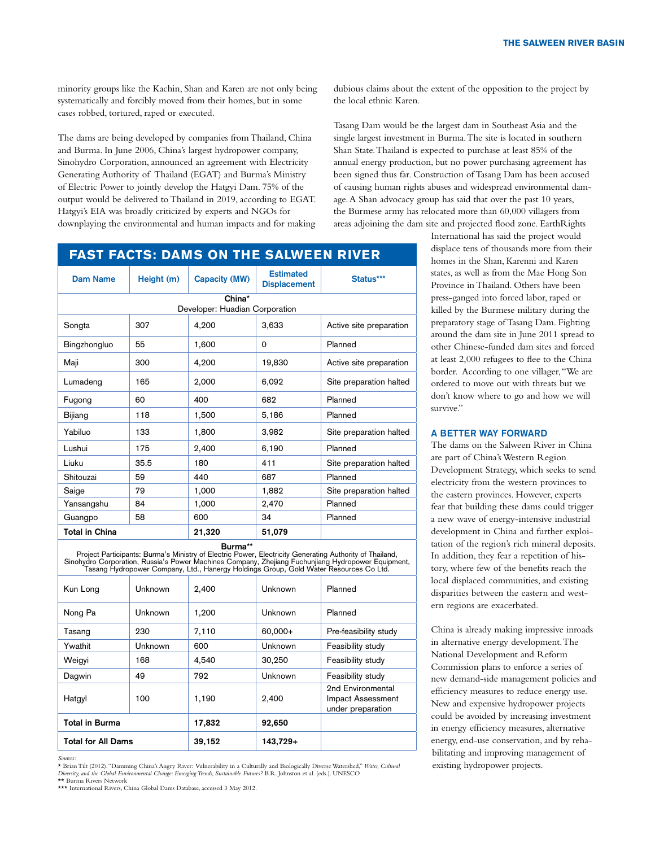minority groups like the Kachin, Shan and Karen are not only being systematically and forcibly moved from their homes, but in some cases robbed, tortured, raped or executed.

The dams are being developed by companies from Thailand, China and Burma. In June 2006, China's largest hydropower company, Sinohydro Corporation, announced an agreement with Electricity Generating Authority of Thailand (EGAT) and Burma's Ministry of Electric Power to jointly develop the Hatgyi Dam. 75% of the output would be delivered to Thailand in 2019, according to EGAT. Hatgyi's EIA was broadly criticized by experts and NGOs for downplaying the environmental and human impacts and for making dubious claims about the extent of the opposition to the project by the local ethnic Karen.

Tasang Dam would be the largest dam in Southeast Asia and the single largest investment in Burma. The site is located in southern Shan State. Thailand is expected to purchase at least 85% of the annual energy production, but no power purchasing agreement has been signed thus far. Construction of Tasang Dam has been accused of causing human rights abuses and widespread environmental damage. A Shan advocacy group has said that over the past 10 years, the Burmese army has relocated more than 60,000 villagers from areas adjoining the dam site and projected flood zone. EarthRights

## **Fast Facts: Dams on the Salween River**

| Dam Name                       | Height (m) | <b>Capacity (MW)</b> | <b>Estimated</b><br><b>Displacement</b> | Status***               |  |  |  |
|--------------------------------|------------|----------------------|-----------------------------------------|-------------------------|--|--|--|
| China*                         |            |                      |                                         |                         |  |  |  |
| Developer: Huadian Corporation |            |                      |                                         |                         |  |  |  |
| Songta                         | 307        | 4,200                | 3,633                                   | Active site preparation |  |  |  |
| Bingzhongluo                   | 55         | 1,600                | 0                                       | Planned                 |  |  |  |
| Maji                           | 300        | 4,200                | 19,830                                  | Active site preparation |  |  |  |
| Lumadeng                       | 165        | 2,000                | 6,092                                   | Site preparation halted |  |  |  |
| Fugong                         | 60         | 400                  | 682                                     | Planned                 |  |  |  |
| Bijiang                        | 118        | 1,500                | 5,186                                   | Planned                 |  |  |  |
| Yabiluo                        | 133        | 1,800                | 3,982                                   | Site preparation halted |  |  |  |
| Lushui                         | 175        | 2,400                | 6,190                                   | Planned                 |  |  |  |
| Liuku                          | 35.5       | 180                  | 411                                     | Site preparation halted |  |  |  |
| Shitouzai                      | 59         | 440                  | 687                                     | Planned                 |  |  |  |
| Saige                          | 79         | 1,000                | 1,882                                   | Site preparation halted |  |  |  |
| Yansangshu                     | 84         | 1,000                | 2,470                                   | Planned                 |  |  |  |
| Guangpo                        | 58         | 600                  | 34                                      | Planned                 |  |  |  |
| <b>Total in China</b>          |            | 21,320               | 51,079                                  |                         |  |  |  |

**Burma\*\*** Project Participants: Burma's Ministry of Electric Power, Electricity Generating Authority of Thailand, Sinohydro Corporation, Russia's Power Machines Company, Zhejiang Fuchunjiang Hydropower Equipment, Tasang Hydropower Company, Ltd., Hanergy Holdings Group, Gold Water Resources Co Ltd.

| Kun Long                  | Unknown | 2,400  | Unknown  | Planned                                                     |
|---------------------------|---------|--------|----------|-------------------------------------------------------------|
| Nong Pa                   | Unknown | 1.200  | Unknown  | Planned                                                     |
| Tasang                    | 230     | 7,110  | 60,000+  | Pre-feasibility study                                       |
| Ywathit                   | Unknown | 600    | Unknown  | Feasibility study                                           |
| Weigyi                    | 168     | 4.540  | 30,250   | Feasibility study                                           |
| Dagwin                    | 49      | 792    | Unknown  | Feasibility study                                           |
| Hatgyl                    | 100     | 1,190  | 2,400    | 2nd Environmental<br>Impact Assessment<br>under preparation |
| <b>Total in Burma</b>     |         | 17,832 | 92,650   |                                                             |
| <b>Total for All Dams</b> |         | 39,152 | 143,729+ |                                                             |

*Sources:*  \* Brian Tilt (2012). "Damming China's Angry River: Vulnerability in a Culturally and Biologically Diverse Watershed," *Water, Cultural Diversity, and the Global Environmental Change: Emerging Trends, Sustainable Futures?* B.R. Johnston et al. (eds.). UNESCO \*\* Burma Rivers Network

\*\*\* International Rivers, China Global Dams Database, accessed 3 May 2012

International has said the project would displace tens of thousands more from their homes in the Shan, Karenni and Karen states, as well as from the Mae Hong Son Province in Thailand. Others have been press-ganged into forced labor, raped or killed by the Burmese military during the preparatory stage of Tasang Dam. Fighting around the dam site in June 2011 spread to other Chinese-funded dam sites and forced at least 2,000 refugees to flee to the China border. According to one villager, "We are ordered to move out with threats but we don't know where to go and how we will survive."

#### A Better Way Forward

The dams on the Salween River in China are part of China's Western Region Development Strategy, which seeks to send electricity from the western provinces to the eastern provinces. However, experts fear that building these dams could trigger a new wave of energy-intensive industrial development in China and further exploitation of the region's rich mineral deposits. In addition, they fear a repetition of history, where few of the benefits reach the local displaced communities, and existing disparities between the eastern and western regions are exacerbated.

China is already making impressive inroads in alternative energy development. The National Development and Reform Commission plans to enforce a series of new demand-side management policies and efficiency measures to reduce energy use. New and expensive hydropower projects could be avoided by increasing investment in energy efficiency measures, alternative energy, end-use conservation, and by rehabilitating and improving management of existing hydropower projects.